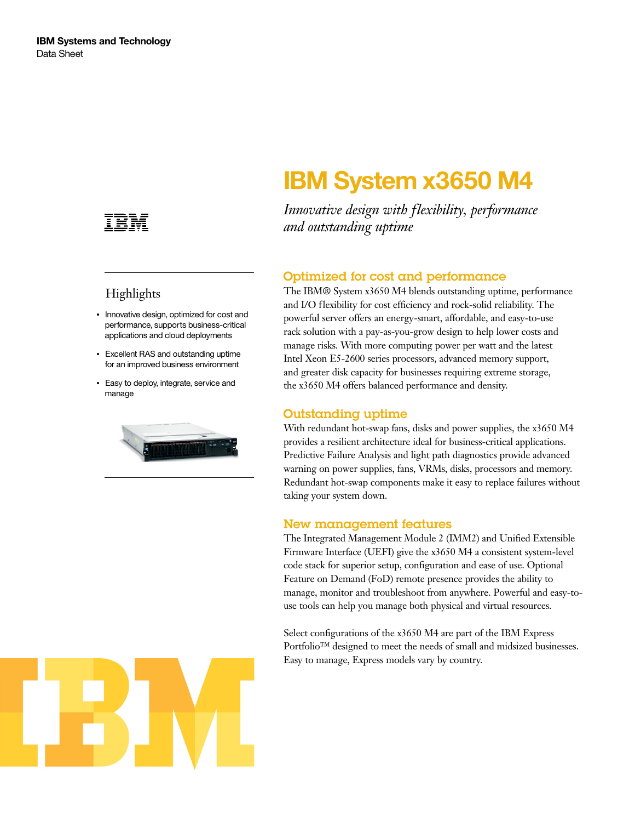

## **Highlights**

- Innovative design, optimized for cost and performance, supports business-critical applications and cloud deployments
- Excellent RAS and outstanding uptime for an improved business environment
- Easy to deploy, integrate, service and manage



# **IBM System x3650 M4**

*Innovative design with flexibility, performance and outstanding uptime*

### Optimized for cost and performance

The IBM® System x3650 M4 blends outstanding uptime, performance and I/O flexibility for cost efficiency and rock-solid reliability. The powerful server offers an energy-smart, affordable, and easy-to-use rack solution with a pay-as-you-grow design to help lower costs and manage risks. With more computing power per watt and the latest Intel Xeon E5-2600 series processors, advanced memory support, and greater disk capacity for businesses requiring extreme storage, the x3650 M4 offers balanced performance and density.

#### Outstanding uptime

With redundant hot-swap fans, disks and power supplies, the x3650 M4 provides a resilient architecture ideal for business-critical applications. Predictive Failure Analysis and light path diagnostics provide advanced warning on power supplies, fans, VRMs, disks, processors and memory. Redundant hot-swap components make it easy to replace failures without taking your system down.

#### New management features

The Integrated Management Module 2 (IMM2) and Unified Extensible Firmware Interface (UEFI) give the x3650 M4 a consistent system-level code stack for superior setup, configuration and ease of use. Optional Feature on Demand (FoD) remote presence provides the ability to manage, monitor and troubleshoot from anywhere. Powerful and easy-touse tools can help you manage both physical and virtual resources.

Select configurations of the x3650 M4 are part of the IBM Express Portfolio™ designed to meet the needs of small and midsized businesses. Easy to manage, Express models vary by country.